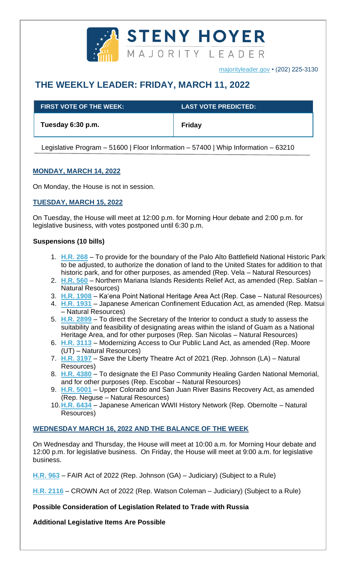

[majorityleader.gov](http://majorityleader.gov/) • (202) 225-3130

# **THE WEEKLY LEADER: FRIDAY, MARCH 11, 2022**

| $\,$ FIRST VOTE OF THE WEEK: $\,$ | <b>LAST VOTE PREDICTED:</b> |
|-----------------------------------|-----------------------------|
| Tuesday 6:30 p.m.                 | Friday                      |

Legislative Program – 51600 | Floor Information – 57400 | Whip Information – 63210

## **MONDAY, MARCH 14, 2022**

On Monday, the House is not in session.

### **TUESDAY, MARCH 15, 2022**

On Tuesday, the House will meet at 12:00 p.m. for Morning Hour debate and 2:00 p.m. for legislative business, with votes postponed until 6:30 p.m.

#### **Suspensions (10 bills)**

- 1. **[H.R. 268](https://docs.house.gov/billsthisweek/20220314/BILLS-117hr268-SUS.pdf)** To provide for the boundary of the Palo Alto Battlefield National Historic Park to be adjusted, to authorize the donation of land to the United States for addition to that historic park, and for other purposes, as amended (Rep. Vela – Natural Resources)
- 2. **[H.R. 560](https://docs.house.gov/billsthisweek/20220314/BILLS-117hr560-SUS.pdf)** Northern Mariana Islands Residents Relief Act, as amended (Rep. Sablan Natural Resources)
- 3. **[H.R. 1908](https://docs.house.gov/billsthisweek/20220314/BILLS-117hr1908-SUS.pdf)** Ka'ena Point National Heritage Area Act (Rep. Case Natural Resources)
- 4. **[H.R. 1931](https://docs.house.gov/billsthisweek/20220314/BILLS-117hr1931-SUS.pdf)** Japanese American Confinement Education Act, as amended (Rep. Matsui – Natural Resources)
- 5. **[H.R. 2899](https://docs.house.gov/billsthisweek/20220314/BILLS-117hr2899-SUS.pdf)** To direct the Secretary of the Interior to conduct a study to assess the suitability and feasibility of designating areas within the island of Guam as a National Heritage Area, and for other purposes (Rep. San Nicolas – Natural Resources)
- 6. **[H.R. 3113](https://docs.house.gov/billsthisweek/20220314/BILLS-117hr3113-SUS.pdf)** Modernizing Access to Our Public Land Act, as amended (Rep. Moore (UT) – Natural Resources)
- 7. **[H.R. 3197](https://docs.house.gov/billsthisweek/20220314/BILLS-117hr3197-SUS.pdf)** Save the Liberty Theatre Act of 2021 (Rep. Johnson (LA) Natural Resources)
- 8. **[H.R. 4380](https://docs.house.gov/billsthisweek/20220314/BILLS-117hr4380-SUS.pdf)** To designate the El Paso Community Healing Garden National Memorial, and for other purposes (Rep. Escobar – Natural Resources)
- 9. **[H.R. 5001](https://docs.house.gov/billsthisweek/20220314/BILLS-117hr5001-SUS.pdf)** Upper Colorado and San Juan River Basins Recovery Act, as amended (Rep. Neguse – Natural Resources)
- 10.**[H.R. 6434](https://docs.house.gov/billsthisweek/20220314/BILLS-117h6434-SUS.pdf)** Japanese American WWII History Network (Rep. Obernolte Natural Resources)

#### **WEDNESDAY MARCH 16, 2022 AND THE BALANCE OF THE WEEK**

On Wednesday and Thursday, the House will meet at 10:00 a.m. for Morning Hour debate and 12:00 p.m. for legislative business. On Friday, the House will meet at 9:00 a.m. for legislative business.

**[H.R. 963](https://docs.house.gov/billsthisweek/20220314/BILLS-117HR963RH-RCP117-34.pdf)** – FAIR Act of 2022 (Rep. Johnson (GA) – Judiciary) (Subject to a Rule)

**[H.R. 2116](https://docs.house.gov/billsthisweek/20220314/BILLS-117HR2116RH-RCP117-36.pdf)** – CROWN Act of 2022 (Rep. Watson Coleman – Judiciary) (Subject to a Rule)

**Possible Consideration of Legislation Related to Trade with Russia**

**Additional Legislative Items Are Possible**